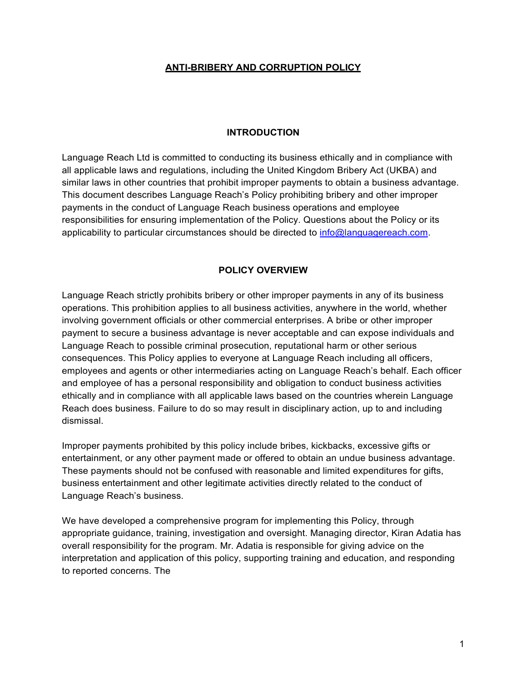#### **ANTI-BRIBERY AND CORRUPTION POLICY**

#### **INTRODUCTION**

Language Reach Ltd is committed to conducting its business ethically and in compliance with all applicable laws and regulations, including the United Kingdom Bribery Act (UKBA) and similar laws in other countries that prohibit improper payments to obtain a business advantage. This document describes Language Reach's Policy prohibiting bribery and other improper payments in the conduct of Language Reach business operations and employee responsibilities for ensuring implementation of the Policy. Questions about the Policy or its applicability to particular circumstances should be directed to [info@languagereach.com.](mailto:info@languagereach.com)

## **POLICY OVERVIEW**

Language Reach strictly prohibits bribery or other improper payments in any of its business operations. This prohibition applies to all business activities, anywhere in the world, whether involving government officials or other commercial enterprises. A bribe or other improper payment to secure a business advantage is never acceptable and can expose individuals and Language Reach to possible criminal prosecution, reputational harm or other serious consequences. This Policy applies to everyone at Language Reach including all officers, employees and agents or other intermediaries acting on Language Reach's behalf. Each officer and employee of has a personal responsibility and obligation to conduct business activities ethically and in compliance with all applicable laws based on the countries wherein Language Reach does business. Failure to do so may result in disciplinary action, up to and including dismissal.

Improper payments prohibited by this policy include bribes, kickbacks, excessive gifts or entertainment, or any other payment made or offered to obtain an undue business advantage. These payments should not be confused with reasonable and limited expenditures for gifts, business entertainment and other legitimate activities directly related to the conduct of Language Reach's business.

We have developed a comprehensive program for implementing this Policy, through appropriate guidance, training, investigation and oversight. Managing director, Kiran Adatia has overall responsibility for the program. Mr. Adatia is responsible for giving advice on the interpretation and application of this policy, supporting training and education, and responding to reported concerns. The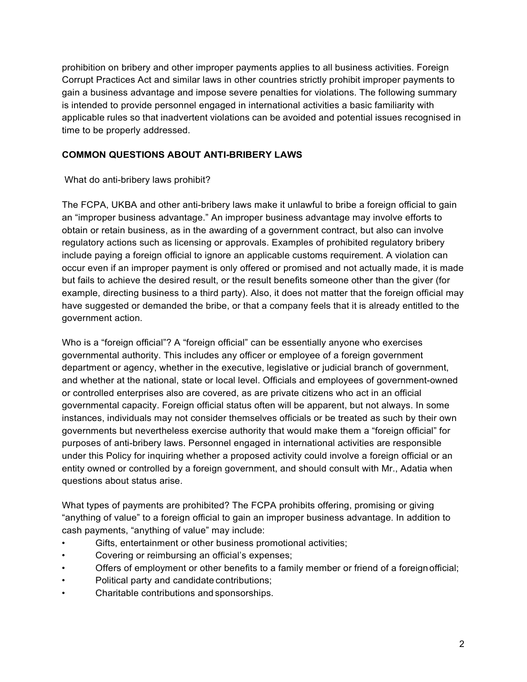prohibition on bribery and other improper payments applies to all business activities. Foreign Corrupt Practices Act and similar laws in other countries strictly prohibit improper payments to gain a business advantage and impose severe penalties for violations. The following summary is intended to provide personnel engaged in international activities a basic familiarity with applicable rules so that inadvertent violations can be avoided and potential issues recognised in time to be properly addressed.

# **COMMON QUESTIONS ABOUT ANTI-BRIBERY LAWS**

## What do anti-bribery laws prohibit?

The FCPA, UKBA and other anti-bribery laws make it unlawful to bribe a foreign official to gain an "improper business advantage." An improper business advantage may involve efforts to obtain or retain business, as in the awarding of a government contract, but also can involve regulatory actions such as licensing or approvals. Examples of prohibited regulatory bribery include paying a foreign official to ignore an applicable customs requirement. A violation can occur even if an improper payment is only offered or promised and not actually made, it is made but fails to achieve the desired result, or the result benefits someone other than the giver (for example, directing business to a third party). Also, it does not matter that the foreign official may have suggested or demanded the bribe, or that a company feels that it is already entitled to the government action.

Who is a "foreign official"? A "foreign official" can be essentially anyone who exercises governmental authority. This includes any officer or employee of a foreign government department or agency, whether in the executive, legislative or judicial branch of government, and whether at the national, state or local level. Officials and employees of government-owned or controlled enterprises also are covered, as are private citizens who act in an official governmental capacity. Foreign official status often will be apparent, but not always. In some instances, individuals may not consider themselves officials or be treated as such by their own governments but nevertheless exercise authority that would make them a "foreign official" for purposes of anti-bribery laws. Personnel engaged in international activities are responsible under this Policy for inquiring whether a proposed activity could involve a foreign official or an entity owned or controlled by a foreign government, and should consult with Mr., Adatia when questions about status arise.

What types of payments are prohibited? The FCPA prohibits offering, promising or giving "anything of value" to a foreign official to gain an improper business advantage. In addition to cash payments, "anything of value" may include:

- Gifts, entertainment or other business promotional activities;
- Covering or reimbursing an official's expenses;
- Offers of employment or other benefits to a family member or friend of a foreign official;
- Political party and candidate contributions;
- Charitable contributions and sponsorships.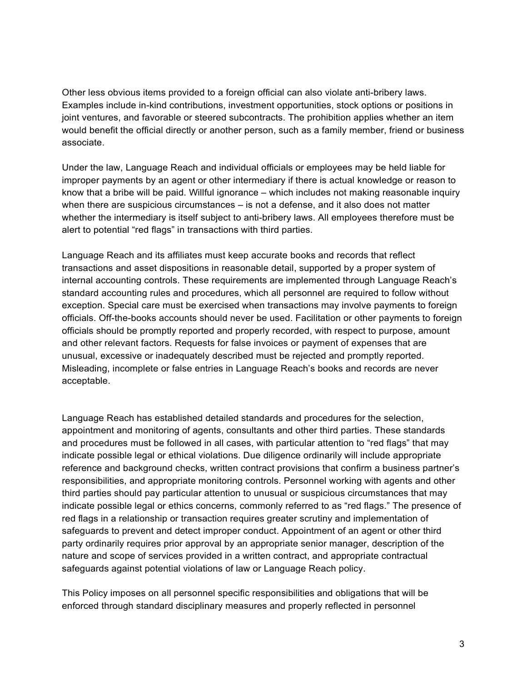Other less obvious items provided to a foreign official can also violate anti-bribery laws. Examples include in-kind contributions, investment opportunities, stock options or positions in joint ventures, and favorable or steered subcontracts. The prohibition applies whether an item would benefit the official directly or another person, such as a family member, friend or business associate.

Under the law, Language Reach and individual officials or employees may be held liable for improper payments by an agent or other intermediary if there is actual knowledge or reason to know that a bribe will be paid. Willful ignorance – which includes not making reasonable inquiry when there are suspicious circumstances – is not a defense, and it also does not matter whether the intermediary is itself subject to anti-bribery laws. All employees therefore must be alert to potential "red flags" in transactions with third parties.

Language Reach and its affiliates must keep accurate books and records that reflect transactions and asset dispositions in reasonable detail, supported by a proper system of internal accounting controls. These requirements are implemented through Language Reach's standard accounting rules and procedures, which all personnel are required to follow without exception. Special care must be exercised when transactions may involve payments to foreign officials. Off-the-books accounts should never be used. Facilitation or other payments to foreign officials should be promptly reported and properly recorded, with respect to purpose, amount and other relevant factors. Requests for false invoices or payment of expenses that are unusual, excessive or inadequately described must be rejected and promptly reported. Misleading, incomplete or false entries in Language Reach's books and records are never acceptable.

Language Reach has established detailed standards and procedures for the selection, appointment and monitoring of agents, consultants and other third parties. These standards and procedures must be followed in all cases, with particular attention to "red flags" that may indicate possible legal or ethical violations. Due diligence ordinarily will include appropriate reference and background checks, written contract provisions that confirm a business partner's responsibilities, and appropriate monitoring controls. Personnel working with agents and other third parties should pay particular attention to unusual or suspicious circumstances that may indicate possible legal or ethics concerns, commonly referred to as "red flags." The presence of red flags in a relationship or transaction requires greater scrutiny and implementation of safeguards to prevent and detect improper conduct. Appointment of an agent or other third party ordinarily requires prior approval by an appropriate senior manager, description of the nature and scope of services provided in a written contract, and appropriate contractual safeguards against potential violations of law or Language Reach policy.

This Policy imposes on all personnel specific responsibilities and obligations that will be enforced through standard disciplinary measures and properly reflected in personnel